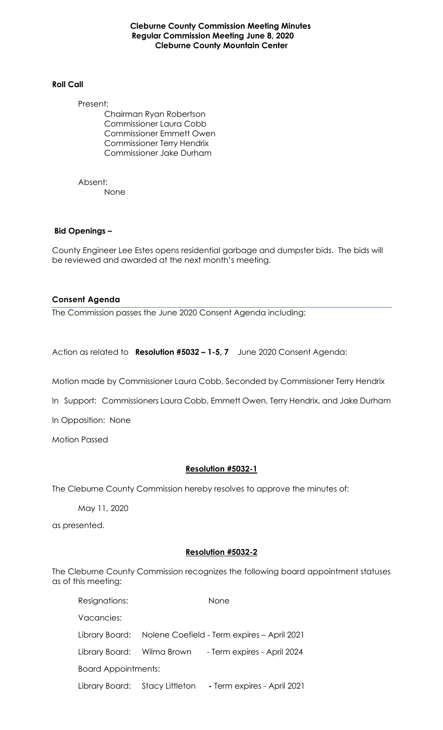**Cleburne County Commission Meeting Minutes Regular Commission Meeting June 8, 2020 Cleburne County Mountain Center**

#### **Roll Call**

Present:

Chairman Ryan Robertson Commissioner Laura Cobb Commissioner Emmett Owen Commissioner Terry Hendrix Commissioner Jake Durham

Absent: None

#### **Bid Openings –**

County Engineer Lee Estes opens residential garbage and dumpster bids. The bids will be reviewed and awarded at the next month's meeting.

#### **Consent Agenda**

The Commission passes the June 2020 Consent Agenda including:

Action as related to **Resolution #5032 – 1-5, 7** June 2020 Consent Agenda:

Motion made by Commissioner Laura Cobb, Seconded by Commissioner Terry Hendrix

In Support: Commissioners Laura Cobb, Emmett Owen, Terry Hendrix, and Jake Durham

In Opposition: None

Motion Passed

#### **Resolution #5032-1**

The Cleburne County Commission hereby resolves to approve the minutes of:

May 11, 2020

as presented.

#### **Resolution #5032-2**

The Cleburne County Commission recognizes the following board appointment statuses as of this meeting:

| Resignations:              |                                                            | <b>None</b>                 |
|----------------------------|------------------------------------------------------------|-----------------------------|
| Vacancies:                 |                                                            |                             |
|                            | Library Board: Nolene Coefield - Term expires - April 2021 |                             |
|                            | Library Board: Wilma Brown                                 | - Term expires - April 2024 |
| <b>Board Appointments:</b> |                                                            |                             |
|                            | Library Board: Stacy Littleton                             | - Term expires - April 2021 |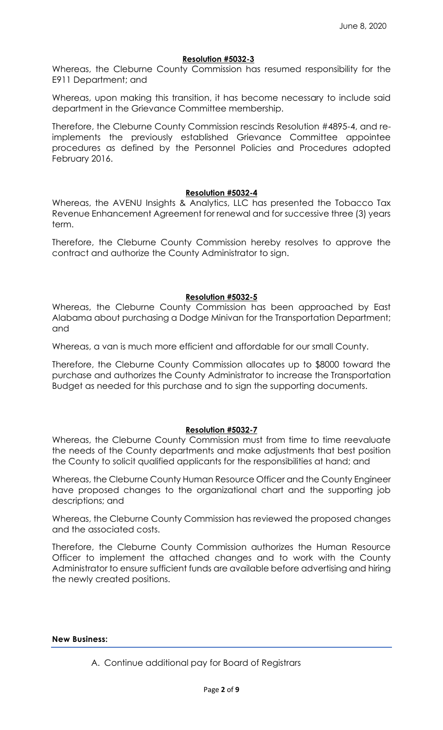### **Resolution #5032-3**

Whereas, the Cleburne County Commission has resumed responsibility for the E911 Department; and

Whereas, upon making this transition, it has become necessary to include said department in the Grievance Committee membership.

Therefore, the Cleburne County Commission rescinds Resolution #4895-4, and reimplements the previously established Grievance Committee appointee procedures as defined by the Personnel Policies and Procedures adopted February 2016.

#### **Resolution #5032-4**

Whereas, the AVENU Insights & Analytics, LLC has presented the Tobacco Tax Revenue Enhancement Agreement for renewal and for successive three (3) years term.

Therefore, the Cleburne County Commission hereby resolves to approve the contract and authorize the County Administrator to sign.

#### **Resolution #5032-5**

Whereas, the Cleburne County Commission has been approached by East Alabama about purchasing a Dodge Minivan for the Transportation Department; and

Whereas, a van is much more efficient and affordable for our small County.

Therefore, the Cleburne County Commission allocates up to \$8000 toward the purchase and authorizes the County Administrator to increase the Transportation Budget as needed for this purchase and to sign the supporting documents.

# **Resolution #5032-7**

Whereas, the Cleburne County Commission must from time to time reevaluate the needs of the County departments and make adjustments that best position the County to solicit qualified applicants for the responsibilities at hand; and

Whereas, the Cleburne County Human Resource Officer and the County Engineer have proposed changes to the organizational chart and the supporting job descriptions; and

Whereas, the Cleburne County Commission has reviewed the proposed changes and the associated costs.

Therefore, the Cleburne County Commission authorizes the Human Resource Officer to implement the attached changes and to work with the County Administrator to ensure sufficient funds are available before advertising and hiring the newly created positions.

**New Business:**

A. Continue additional pay for Board of Registrars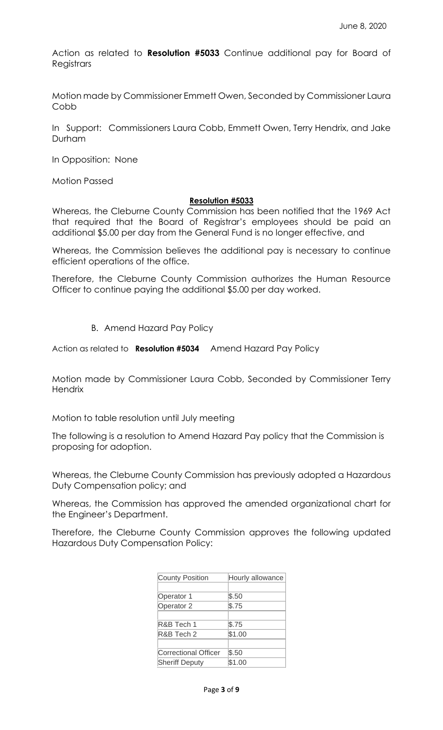Action as related to **Resolution #5033** Continue additional pay for Board of **Registrars** 

Motion made by Commissioner Emmett Owen, Seconded by Commissioner Laura Cobb

In Support: Commissioners Laura Cobb, Emmett Owen, Terry Hendrix, and Jake Durham

In Opposition: None

Motion Passed

#### **Resolution #5033**

Whereas, the Cleburne County Commission has been notified that the 1969 Act that required that the Board of Registrar's employees should be paid an additional \$5.00 per day from the General Fund is no longer effective, and

Whereas, the Commission believes the additional pay is necessary to continue efficient operations of the office.

Therefore, the Cleburne County Commission authorizes the Human Resource Officer to continue paying the additional \$5.00 per day worked.

B. Amend Hazard Pay Policy

Action as related to **Resolution #5034** Amend Hazard Pay Policy

Motion made by Commissioner Laura Cobb, Seconded by Commissioner Terry **Hendrix** 

Motion to table resolution until July meeting

The following is a resolution to Amend Hazard Pay policy that the Commission is proposing for adoption.

Whereas, the Cleburne County Commission has previously adopted a Hazardous Duty Compensation policy; and

Whereas, the Commission has approved the amended organizational chart for the Engineer's Department.

Therefore, the Cleburne County Commission approves the following updated Hazardous Duty Compensation Policy:

| <b>County Position</b> | Hourly allowance |
|------------------------|------------------|
|                        |                  |
| Operator 1             | \$.50            |
| Operator 2             | \$.75            |
|                        |                  |
| R&B Tech 1             | \$.75            |
| R&B Tech 2             | \$1.00           |
|                        |                  |
| Correctional Officer   | \$.50            |
| <b>Sheriff Deputy</b>  | \$1.00           |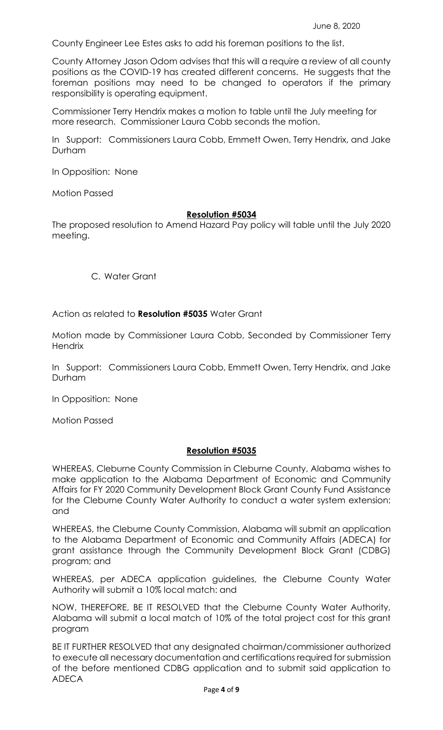County Engineer Lee Estes asks to add his foreman positions to the list.

County Attorney Jason Odom advises that this will a require a review of all county positions as the COVID-19 has created different concerns. He suggests that the foreman positions may need to be changed to operators if the primary responsibility is operating equipment.

Commissioner Terry Hendrix makes a motion to table until the July meeting for more research. Commissioner Laura Cobb seconds the motion.

In Support: Commissioners Laura Cobb, Emmett Owen, Terry Hendrix, and Jake Durham

In Opposition: None

Motion Passed

# **Resolution #5034**

The proposed resolution to Amend Hazard Pay policy will table until the July 2020 meeting.

C. Water Grant

Action as related to **Resolution #5035** Water Grant

Motion made by Commissioner Laura Cobb, Seconded by Commissioner Terry **Hendrix** 

In Support: Commissioners Laura Cobb, Emmett Owen, Terry Hendrix, and Jake Durham

In Opposition: None

Motion Passed

# **Resolution #5035**

WHEREAS, Cleburne County Commission in Cleburne County, Alabama wishes to make application to the Alabama Department of Economic and Community Affairs for FY 2020 Community Development Block Grant County Fund Assistance for the Cleburne County Water Authority to conduct a water system extension: and

WHEREAS, the Cleburne County Commission, Alabama will submit an application to the Alabama Department of Economic and Community Affairs (ADECA) for grant assistance through the Community Development Block Grant (CDBG) program; and

WHEREAS, per ADECA application guidelines, the Cleburne County Water Authority will submit a 10% local match: and

NOW, THEREFORE, BE IT RESOLVED that the Cleburne County Water Authority, Alabama will submit a local match of 10% of the total project cost for this grant program

BE IT FURTHER RESOLVED that any designated chairman/commissioner authorized to execute all necessary documentation and certifications required for submission of the before mentioned CDBG application and to submit said application to ADECA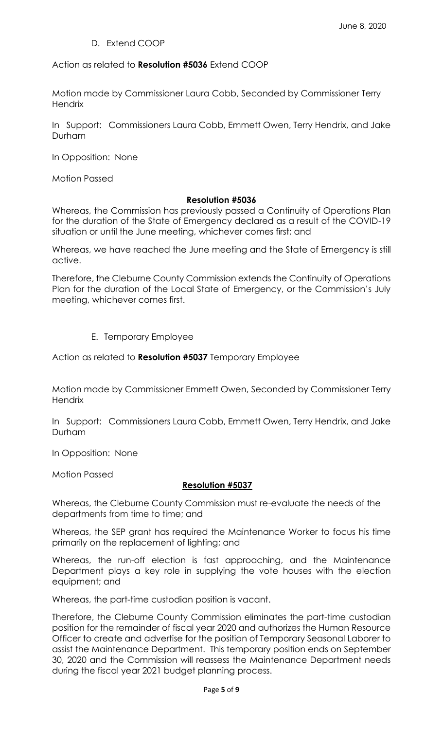# D. Extend COOP

Action as related to **Resolution #5036** Extend COOP

Motion made by Commissioner Laura Cobb, Seconded by Commissioner Terry **Hendrix** 

In Support: Commissioners Laura Cobb, Emmett Owen, Terry Hendrix, and Jake Durham

In Opposition: None

Motion Passed

#### **Resolution #5036**

Whereas, the Commission has previously passed a Continuity of Operations Plan for the duration of the State of Emergency declared as a result of the COVID-19 situation or until the June meeting, whichever comes first; and

Whereas, we have reached the June meeting and the State of Emergency is still active.

Therefore, the Cleburne County Commission extends the Continuity of Operations Plan for the duration of the Local State of Emergency, or the Commission's July meeting, whichever comes first.

# E. Temporary Employee

Action as related to **Resolution #5037** Temporary Employee

Motion made by Commissioner Emmett Owen, Seconded by Commissioner Terry **Hendrix** 

In Support: Commissioners Laura Cobb, Emmett Owen, Terry Hendrix, and Jake Durham

In Opposition: None

Motion Passed

# **Resolution #5037**

Whereas, the Cleburne County Commission must re-evaluate the needs of the departments from time to time; and

Whereas, the SEP grant has required the Maintenance Worker to focus his time primarily on the replacement of lighting; and

Whereas, the run-off election is fast approaching, and the Maintenance Department plays a key role in supplying the vote houses with the election equipment; and

Whereas, the part-time custodian position is vacant.

Therefore, the Cleburne County Commission eliminates the part-time custodian position for the remainder of fiscal year 2020 and authorizes the Human Resource Officer to create and advertise for the position of Temporary Seasonal Laborer to assist the Maintenance Department. This temporary position ends on September 30, 2020 and the Commission will reassess the Maintenance Department needs during the fiscal year 2021 budget planning process.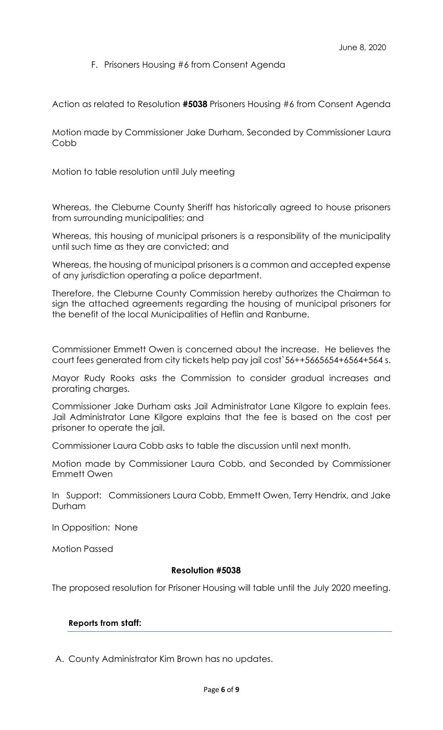# F. Prisoners Housing #6 from Consent Agenda

Action as related to Resolution **#5038** Prisoners Housing #6 from Consent Agenda

Motion made by Commissioner Jake Durham, Seconded by Commissioner Laura Cobb

Motion to table resolution until July meeting

Whereas, the Cleburne County Sheriff has historically agreed to house prisoners from surrounding municipalities; and

Whereas, this housing of municipal prisoners is a responsibility of the municipality until such time as they are convicted; and

Whereas, the housing of municipal prisoners is a common and accepted expense of any jurisdiction operating a police department.

Therefore, the Cleburne County Commission hereby authorizes the Chairman to sign the attached agreements regarding the housing of municipal prisoners for the benefit of the local Municipalities of Heflin and Ranburne.

Commissioner Emmett Owen is concerned about the increase. He believes the court fees generated from city tickets help pay jail cost`56++5665654+6564+564 s.

Mayor Rudy Rooks asks the Commission to consider gradual increases and prorating charges.

Commissioner Jake Durham asks Jail Administrator Lane Kilgore to explain fees. Jail Administrator Lane Kilgore explains that the fee is based on the cost per prisoner to operate the jail.

Commissioner Laura Cobb asks to table the discussion until next month.

Motion made by Commissioner Laura Cobb, and Seconded by Commissioner Emmett Owen

In Support: Commissioners Laura Cobb, Emmett Owen, Terry Hendrix, and Jake Durham

In Opposition: None

Motion Passed

# **Resolution #5038**

The proposed resolution for Prisoner Housing will table until the July 2020 meeting.

# **Reports from staff:**

A. County Administrator Kim Brown has no updates.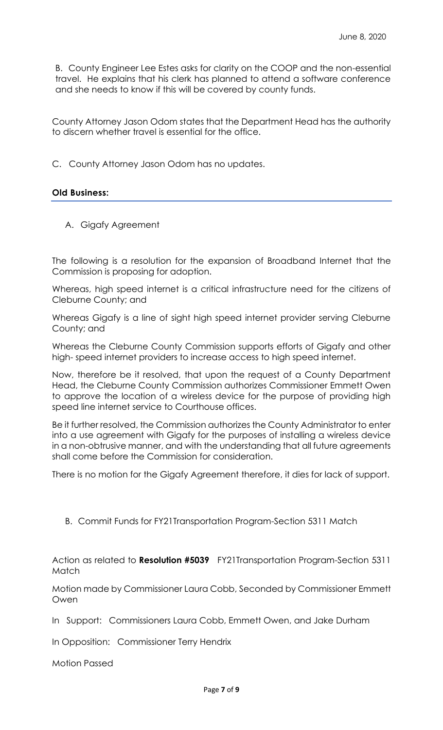B. County Engineer Lee Estes asks for clarity on the COOP and the non-essential travel. He explains that his clerk has planned to attend a software conference and she needs to know if this will be covered by county funds.

County Attorney Jason Odom states that the Department Head has the authority to discern whether travel is essential for the office.

C. County Attorney Jason Odom has no updates.

# **Old Business:**

A. Gigafy Agreement

The following is a resolution for the expansion of Broadband Internet that the Commission is proposing for adoption.

Whereas, high speed internet is a critical infrastructure need for the citizens of Cleburne County; and

Whereas Gigafy is a line of sight high speed internet provider serving Cleburne County; and

Whereas the Cleburne County Commission supports efforts of Gigafy and other high- speed internet providers to increase access to high speed internet.

Now, therefore be it resolved, that upon the request of a County Department Head, the Cleburne County Commission authorizes Commissioner Emmett Owen to approve the location of a wireless device for the purpose of providing high speed line internet service to Courthouse offices.

Be it further resolved, the Commission authorizes the County Administrator to enter into a use agreement with Gigafy for the purposes of installing a wireless device in a non-obtrusive manner, and with the understanding that all future agreements shall come before the Commission for consideration.

There is no motion for the Gigafy Agreement therefore, it dies for lack of support.

B. Commit Funds for FY21Transportation Program-Section 5311 Match

Action as related to **Resolution #5039** FY21Transportation Program-Section 5311 **Match** 

Motion made by Commissioner Laura Cobb, Seconded by Commissioner Emmett Owen

In Support: Commissioners Laura Cobb, Emmett Owen, and Jake Durham

In Opposition: Commissioner Terry Hendrix

Motion Passed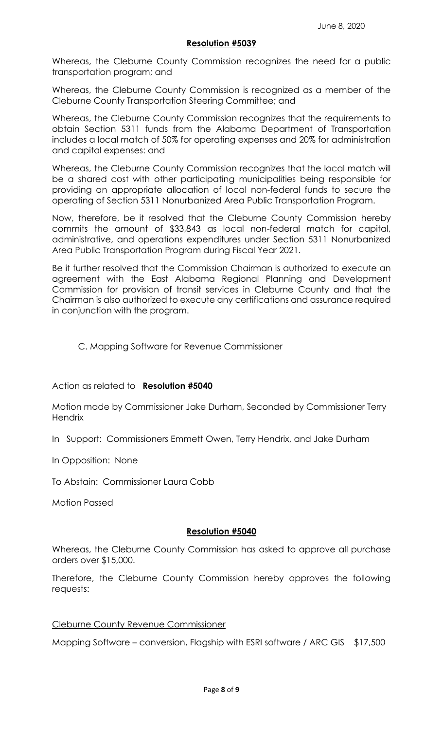#### **Resolution #5039**

Whereas, the Cleburne County Commission recognizes the need for a public transportation program; and

Whereas, the Cleburne County Commission is recognized as a member of the Cleburne County Transportation Steering Committee; and

Whereas, the Cleburne County Commission recognizes that the requirements to obtain Section 5311 funds from the Alabama Department of Transportation includes a local match of 50% for operating expenses and 20% for administration and capital expenses: and

Whereas, the Cleburne County Commission recognizes that the local match will be a shared cost with other participating municipalities being responsible for providing an appropriate allocation of local non-federal funds to secure the operating of Section 5311 Nonurbanized Area Public Transportation Program.

Now, therefore, be it resolved that the Cleburne County Commission hereby commits the amount of \$33,843 as local non-federal match for capital, administrative, and operations expenditures under Section 5311 Nonurbanized Area Public Transportation Program during Fiscal Year 2021.

Be it further resolved that the Commission Chairman is authorized to execute an agreement with the East Alabama Regional Planning and Development Commission for provision of transit services in Cleburne County and that the Chairman is also authorized to execute any certifications and assurance required in conjunction with the program.

# C. Mapping Software for Revenue Commissioner

# Action as related to **Resolution #5040**

Motion made by Commissioner Jake Durham, Seconded by Commissioner Terry **Hendrix** 

In Support: Commissioners Emmett Owen, Terry Hendrix, and Jake Durham

In Opposition: None

To Abstain: Commissioner Laura Cobb

Motion Passed

# **Resolution #5040**

Whereas, the Cleburne County Commission has asked to approve all purchase orders over \$15,000.

Therefore, the Cleburne County Commission hereby approves the following requests:

#### Cleburne County Revenue Commissioner

Mapping Software – conversion, Flagship with ESRI software / ARC GIS \$17,500